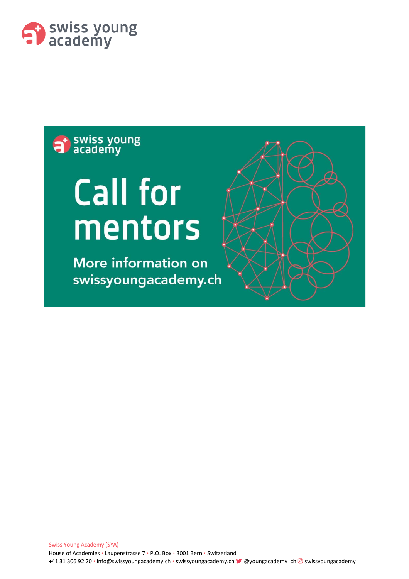

## at swiss young

# **Call for** mentors

**More information on** swissyoungacademy.ch